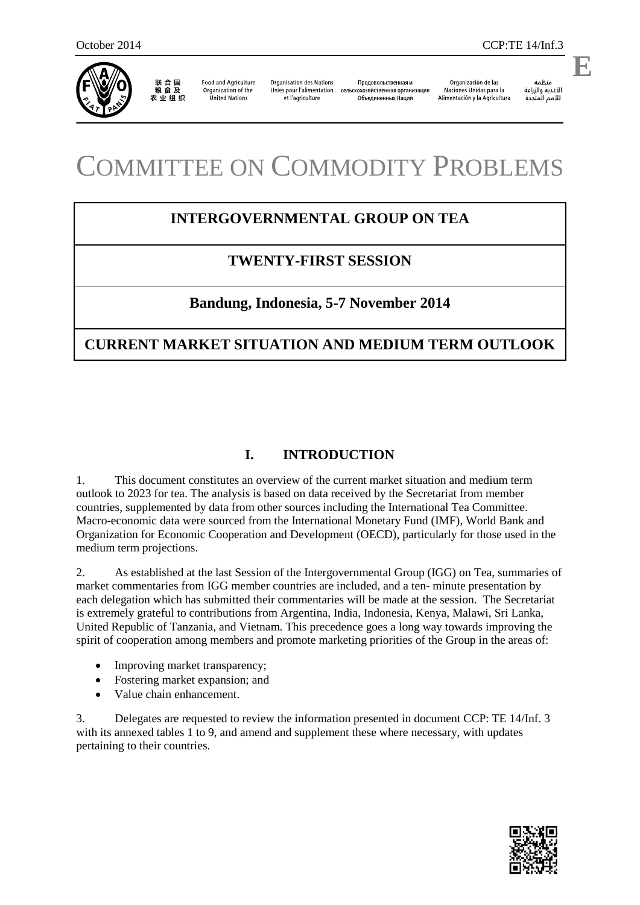

联合国<br>粮食及 农业组织

**Food and Agriculture** Organization of the **United Nations** 

**Organisation des Nations** Unies pour l'alimentation et l'agriculture

Продовольственная и сельскохозяйственная организация Объединенных Наций

Organización de las Naciones Unidas para la Alimentación y la Agricultura

منظمة الأغذية والزراعة للأمم المتحدة

**E**

.

# COMMITTEE ON COMMODITY PROBLEMS

# **INTERGOVERNMENTAL GROUP ON TEA**

# **TWENTY-FIRST SESSION**

# **Bandung, Indonesia, 5-7 November 2014**

# **CURRENT MARKET SITUATION AND MEDIUM TERM OUTLOOK**

# **I. INTRODUCTION**

1. This document constitutes an overview of the current market situation and medium term outlook to 2023 for tea. The analysis is based on data received by the Secretariat from member countries, supplemented by data from other sources including the International Tea Committee. Macro-economic data were sourced from the International Monetary Fund (IMF), World Bank and Organization for Economic Cooperation and Development (OECD), particularly for those used in the medium term projections.

2. As established at the last Session of the Intergovernmental Group (IGG) on Tea, summaries of market commentaries from IGG member countries are included, and a ten- minute presentation by each delegation which has submitted their commentaries will be made at the session. The Secretariat is extremely grateful to contributions from Argentina, India, Indonesia, Kenya, Malawi, Sri Lanka, United Republic of Tanzania, and Vietnam. This precedence goes a long way towards improving the spirit of cooperation among members and promote marketing priorities of the Group in the areas of:

- Improving market transparency;
- Fostering market expansion; and
- Value chain enhancement.

3. Delegates are requested to review the information presented in document CCP: TE 14/Inf. 3 with its annexed tables 1 to 9, and amend and supplement these where necessary, with updates pertaining to their countries.

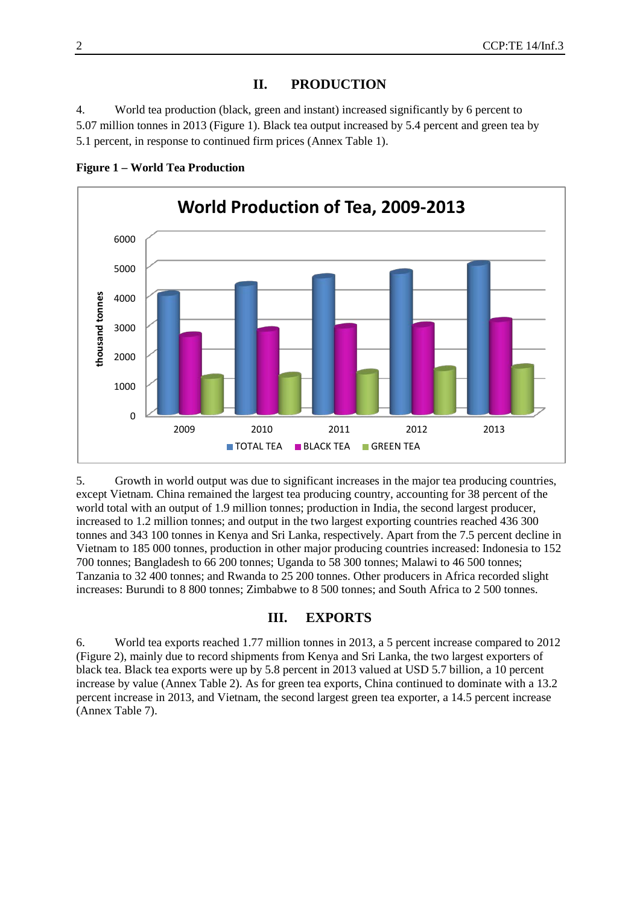## **II. PRODUCTION**

4. World tea production (black, green and instant) increased significantly by 6 percent to 5.07 million tonnes in 2013 (Figure 1). Black tea output increased by 5.4 percent and green tea by 5.1 percent, in response to continued firm prices (Annex Table 1).



**Figure 1 – World Tea Production**

5. Growth in world output was due to significant increases in the major tea producing countries, except Vietnam. China remained the largest tea producing country, accounting for 38 percent of the world total with an output of 1.9 million tonnes; production in India, the second largest producer, increased to 1.2 million tonnes; and output in the two largest exporting countries reached 436 300 tonnes and 343 100 tonnes in Kenya and Sri Lanka, respectively. Apart from the 7.5 percent decline in Vietnam to 185 000 tonnes, production in other major producing countries increased: Indonesia to 152 700 tonnes; Bangladesh to 66 200 tonnes; Uganda to 58 300 tonnes; Malawi to 46 500 tonnes; Tanzania to 32 400 tonnes; and Rwanda to 25 200 tonnes. Other producers in Africa recorded slight increases: Burundi to 8 800 tonnes; Zimbabwe to 8 500 tonnes; and South Africa to 2 500 tonnes.

#### **III. EXPORTS**

6. World tea exports reached 1.77 million tonnes in 2013, a 5 percent increase compared to 2012 (Figure 2), mainly due to record shipments from Kenya and Sri Lanka, the two largest exporters of black tea. Black tea exports were up by 5.8 percent in 2013 valued at USD 5.7 billion, a 10 percent increase by value (Annex Table 2). As for green tea exports, China continued to dominate with a 13.2 percent increase in 2013, and Vietnam, the second largest green tea exporter, a 14.5 percent increase (Annex Table 7).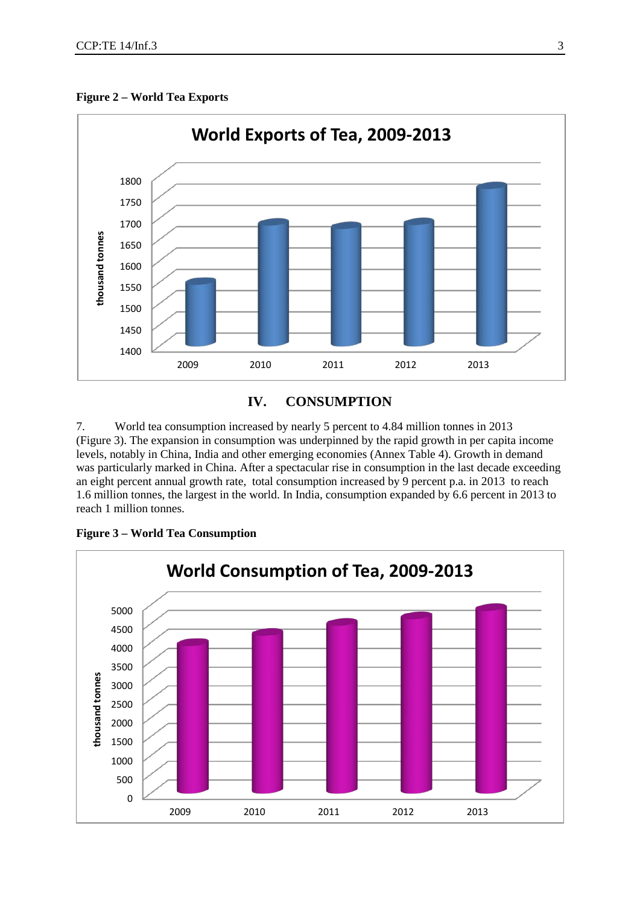

#### **Figure 2 – World Tea Exports**

## **IV. CONSUMPTION**

7. World tea consumption increased by nearly 5 percent to 4.84 million tonnes in 2013 (Figure 3). The expansion in consumption was underpinned by the rapid growth in per capita income levels, notably in China, India and other emerging economies (Annex Table 4). Growth in demand was particularly marked in China. After a spectacular rise in consumption in the last decade exceeding an eight percent annual growth rate, total consumption increased by 9 percent p.a. in 2013 to reach 1.6 million tonnes, the largest in the world. In India, consumption expanded by 6.6 percent in 2013 to reach 1 million tonnes.



**Figure 3 – World Tea Consumption**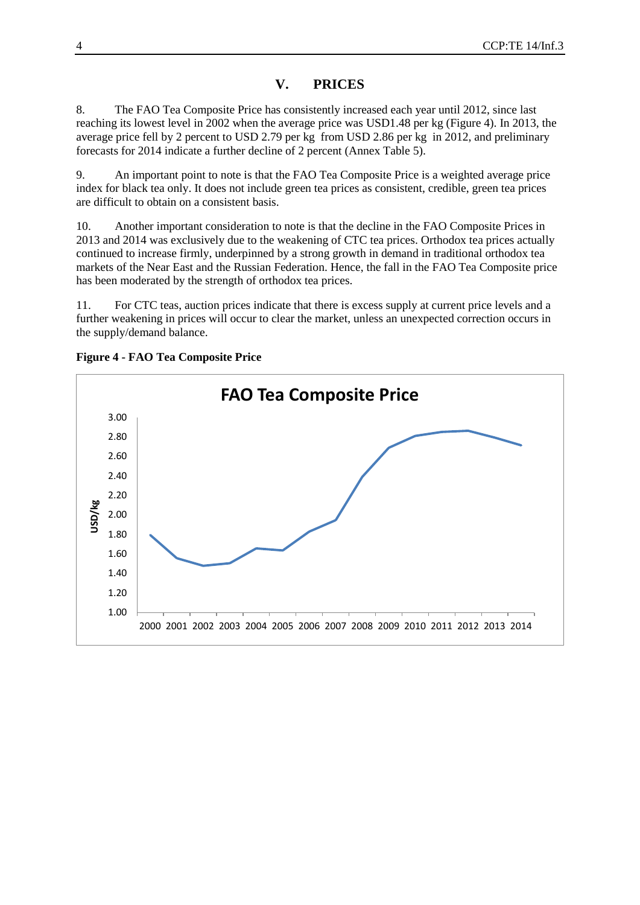## **V. PRICES**

8. The FAO Tea Composite Price has consistently increased each year until 2012, since last reaching its lowest level in 2002 when the average price was USD1.48 per kg (Figure 4). In 2013, the average price fell by 2 percent to USD 2.79 per kg from USD 2.86 per kg in 2012, and preliminary forecasts for 2014 indicate a further decline of 2 percent (Annex Table 5).

9. An important point to note is that the FAO Tea Composite Price is a weighted average price index for black tea only. It does not include green tea prices as consistent, credible, green tea prices are difficult to obtain on a consistent basis.

10. Another important consideration to note is that the decline in the FAO Composite Prices in 2013 and 2014 was exclusively due to the weakening of CTC tea prices. Orthodox tea prices actually continued to increase firmly, underpinned by a strong growth in demand in traditional orthodox tea markets of the Near East and the Russian Federation. Hence, the fall in the FAO Tea Composite price has been moderated by the strength of orthodox tea prices.

11. For CTC teas, auction prices indicate that there is excess supply at current price levels and a further weakening in prices will occur to clear the market, unless an unexpected correction occurs in the supply/demand balance.



**Figure 4 - FAO Tea Composite Price**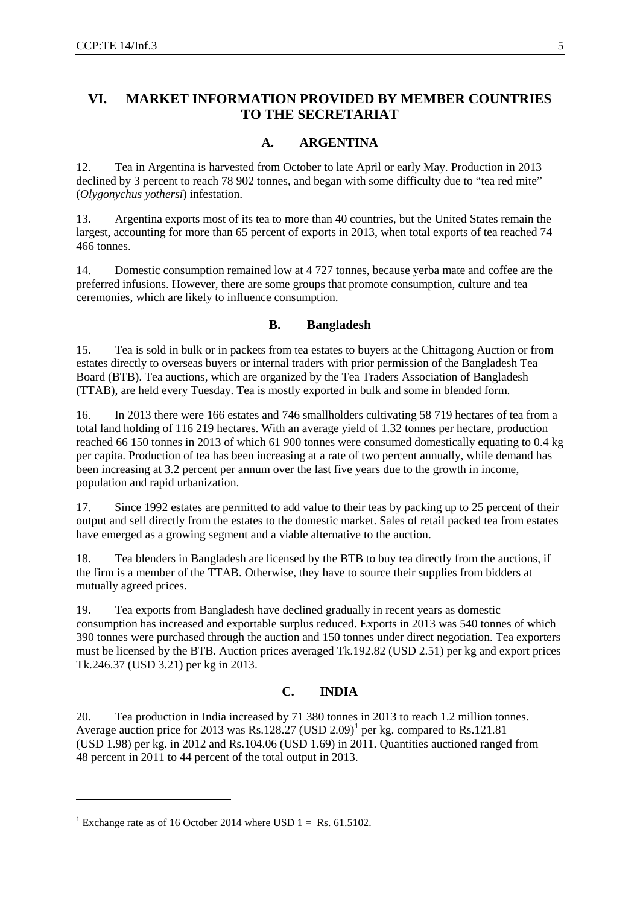## **VI. MARKET INFORMATION PROVIDED BY MEMBER COUNTRIES TO THE SECRETARIAT**

#### **A. ARGENTINA**

12. Tea in Argentina is harvested from October to late April or early May. Production in 2013 declined by 3 percent to reach 78 902 tonnes, and began with some difficulty due to "tea red mite" (*Olygonychus yothersi*) infestation.

13. Argentina exports most of its tea to more than 40 countries, but the United States remain the largest, accounting for more than 65 percent of exports in 2013, when total exports of tea reached 74 466 tonnes.

14. Domestic consumption remained low at 4 727 tonnes, because yerba mate and coffee are the preferred infusions. However, there are some groups that promote consumption, culture and tea ceremonies, which are likely to influence consumption.

#### **B. Bangladesh**

15. Tea is sold in bulk or in packets from tea estates to buyers at the Chittagong Auction or from estates directly to overseas buyers or internal traders with prior permission of the Bangladesh Tea Board (BTB). Tea auctions, which are organized by the Tea Traders Association of Bangladesh (TTAB), are held every Tuesday. Tea is mostly exported in bulk and some in blended form.

16. In 2013 there were 166 estates and 746 smallholders cultivating 58 719 hectares of tea from a total land holding of 116 219 hectares. With an average yield of 1.32 tonnes per hectare, production reached 66 150 tonnes in 2013 of which 61 900 tonnes were consumed domestically equating to 0.4 kg per capita. Production of tea has been increasing at a rate of two percent annually, while demand has been increasing at 3.2 percent per annum over the last five years due to the growth in income, population and rapid urbanization.

17. Since 1992 estates are permitted to add value to their teas by packing up to 25 percent of their output and sell directly from the estates to the domestic market. Sales of retail packed tea from estates have emerged as a growing segment and a viable alternative to the auction.

18. Tea blenders in Bangladesh are licensed by the BTB to buy tea directly from the auctions, if the firm is a member of the TTAB. Otherwise, they have to source their supplies from bidders at mutually agreed prices.

19. Tea exports from Bangladesh have declined gradually in recent years as domestic consumption has increased and exportable surplus reduced. Exports in 2013 was 540 tonnes of which 390 tonnes were purchased through the auction and 150 tonnes under direct negotiation. Tea exporters must be licensed by the BTB. Auction prices averaged Tk.192.82 (USD 2.51) per kg and export prices Tk.246.37 (USD 3.21) per kg in 2013.

#### **C. INDIA**

20. Tea production in India increased by 71 380 tonnes in 2013 to reach 1.2 million tonnes. Average auction price for 20[1](#page-4-0)3 was Rs.128.27 (USD 2.09)<sup>1</sup> per kg. compared to Rs.121.81 (USD 1.98) per kg. in 2012 and Rs.104.06 (USD 1.69) in 2011. Quantities auctioned ranged from 48 percent in 2011 to 44 percent of the total output in 2013.

-

<span id="page-4-0"></span><sup>&</sup>lt;sup>1</sup> Exchange rate as of 16 October 2014 where USD  $1 =$  Rs. 61.5102.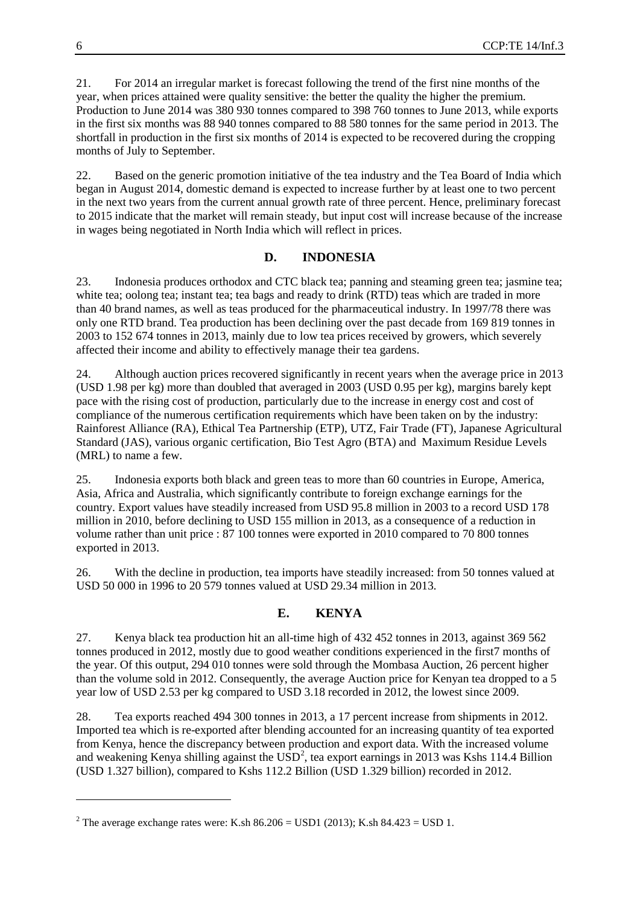21. For 2014 an irregular market is forecast following the trend of the first nine months of the year, when prices attained were quality sensitive: the better the quality the higher the premium. Production to June 2014 was 380 930 tonnes compared to 398 760 tonnes to June 2013, while exports in the first six months was 88 940 tonnes compared to 88 580 tonnes for the same period in 2013. The shortfall in production in the first six months of 2014 is expected to be recovered during the cropping months of July to September.

22. Based on the generic promotion initiative of the tea industry and the Tea Board of India which began in August 2014, domestic demand is expected to increase further by at least one to two percent in the next two years from the current annual growth rate of three percent. Hence, preliminary forecast to 2015 indicate that the market will remain steady, but input cost will increase because of the increase in wages being negotiated in North India which will reflect in prices.

#### **D. INDONESIA**

23. Indonesia produces orthodox and CTC black tea; panning and steaming green tea; jasmine tea; white tea; oolong tea; instant tea; tea bags and ready to drink (RTD) teas which are traded in more than 40 brand names, as well as teas produced for the pharmaceutical industry. In 1997/78 there was only one RTD brand. Tea production has been declining over the past decade from 169 819 tonnes in 2003 to 152 674 tonnes in 2013, mainly due to low tea prices received by growers, which severely affected their income and ability to effectively manage their tea gardens.

24. Although auction prices recovered significantly in recent years when the average price in 2013 (USD 1.98 per kg) more than doubled that averaged in 2003 (USD 0.95 per kg), margins barely kept pace with the rising cost of production, particularly due to the increase in energy cost and cost of compliance of the numerous certification requirements which have been taken on by the industry: Rainforest Alliance (RA), Ethical Tea Partnership (ETP), UTZ, Fair Trade (FT), Japanese Agricultural Standard (JAS), various organic certification, Bio Test Agro (BTA) and Maximum Residue Levels (MRL) to name a few.

25. Indonesia exports both black and green teas to more than 60 countries in Europe, America, Asia, Africa and Australia, which significantly contribute to foreign exchange earnings for the country. Export values have steadily increased from USD 95.8 million in 2003 to a record USD 178 million in 2010, before declining to USD 155 million in 2013, as a consequence of a reduction in volume rather than unit price : 87 100 tonnes were exported in 2010 compared to 70 800 tonnes exported in 2013.

26. With the decline in production, tea imports have steadily increased: from 50 tonnes valued at USD 50 000 in 1996 to 20 579 tonnes valued at USD 29.34 million in 2013.

#### **E. KENYA**

27. Kenya black tea production hit an all-time high of 432 452 tonnes in 2013, against 369 562 tonnes produced in 2012, mostly due to good weather conditions experienced in the first7 months of the year. Of this output, 294 010 tonnes were sold through the Mombasa Auction, 26 percent higher than the volume sold in 2012. Consequently, the average Auction price for Kenyan tea dropped to a 5 year low of USD 2.53 per kg compared to USD 3.18 recorded in 2012, the lowest since 2009.

28. Tea exports reached 494 300 tonnes in 2013, a 17 percent increase from shipments in 2012. Imported tea which is re-exported after blending accounted for an increasing quantity of tea exported from Kenya, hence the discrepancy between production and export data. With the increased volume and weakening Kenya shilling against the  $\text{USD}^2$  $\text{USD}^2$ , tea export earnings in 2013 was Kshs 114.4 Billion (USD 1.327 billion), compared to Kshs 112.2 Billion (USD 1.329 billion) recorded in 2012.

-

<span id="page-5-0"></span><sup>&</sup>lt;sup>2</sup> The average exchange rates were: K.sh  $86.206 =$  USD1 (2013); K.sh  $84.423 =$  USD 1.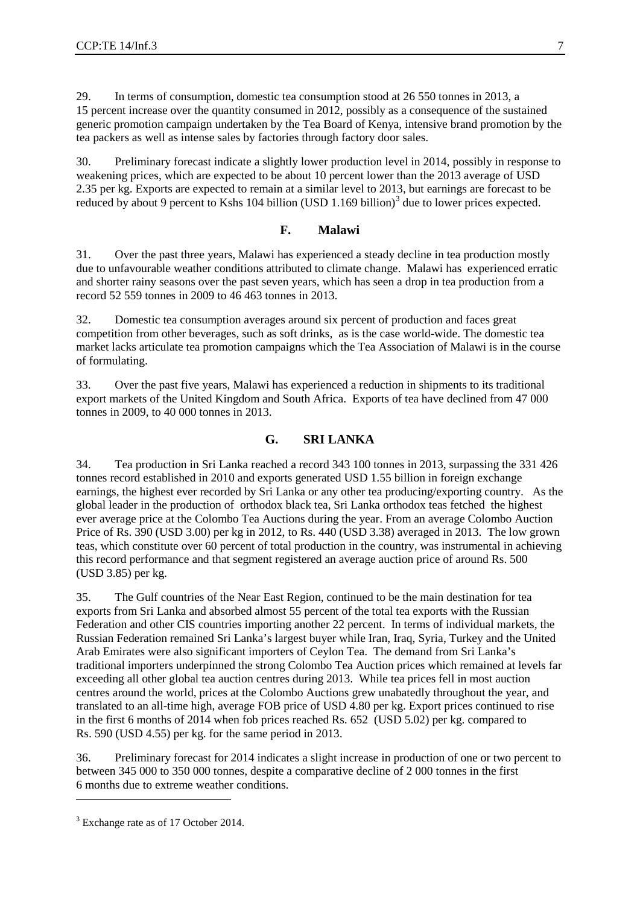29. In terms of consumption, domestic tea consumption stood at 26 550 tonnes in 2013, a 15 percent increase over the quantity consumed in 2012, possibly as a consequence of the sustained generic promotion campaign undertaken by the Tea Board of Kenya, intensive brand promotion by the tea packers as well as intense sales by factories through factory door sales.

30. Preliminary forecast indicate a slightly lower production level in 2014, possibly in response to weakening prices, which are expected to be about 10 percent lower than the 2013 average of USD 2.35 per kg. Exports are expected to remain at a similar level to 2013, but earnings are forecast to be reduced by about 9 percent to Kshs 104 billion (USD  $1.169$  billion)<sup>[3](#page-6-0)</sup> due to lower prices expected.

#### **F. Malawi**

31. Over the past three years, Malawi has experienced a steady decline in tea production mostly due to unfavourable weather conditions attributed to climate change. Malawi has experienced erratic and shorter rainy seasons over the past seven years, which has seen a drop in tea production from a record 52 559 tonnes in 2009 to 46 463 tonnes in 2013.

32. Domestic tea consumption averages around six percent of production and faces great competition from other beverages, such as soft drinks, as is the case world-wide. The domestic tea market lacks articulate tea promotion campaigns which the Tea Association of Malawi is in the course of formulating.

33. Over the past five years, Malawi has experienced a reduction in shipments to its traditional export markets of the United Kingdom and South Africa. Exports of tea have declined from 47 000 tonnes in 2009, to 40 000 tonnes in 2013.

## **G. SRI LANKA**

34. Tea production in Sri Lanka reached a record 343 100 tonnes in 2013, surpassing the 331 426 tonnes record established in 2010 and exports generated USD 1.55 billion in foreign exchange earnings, the highest ever recorded by Sri Lanka or any other tea producing/exporting country. As the global leader in the production of orthodox black tea, Sri Lanka orthodox teas fetched the highest ever average price at the Colombo Tea Auctions during the year. From an average Colombo Auction Price of Rs. 390 (USD 3.00) per kg in 2012, to Rs. 440 (USD 3.38) averaged in 2013. The low grown teas, which constitute over 60 percent of total production in the country, was instrumental in achieving this record performance and that segment registered an average auction price of around Rs. 500 (USD 3.85) per kg.

35. The Gulf countries of the Near East Region, continued to be the main destination for tea exports from Sri Lanka and absorbed almost 55 percent of the total tea exports with the Russian Federation and other CIS countries importing another 22 percent. In terms of individual markets, the Russian Federation remained Sri Lanka's largest buyer while Iran, Iraq, Syria, Turkey and the United Arab Emirates were also significant importers of Ceylon Tea. The demand from Sri Lanka's traditional importers underpinned the strong Colombo Tea Auction prices which remained at levels far exceeding all other global tea auction centres during 2013. While tea prices fell in most auction centres around the world, prices at the Colombo Auctions grew unabatedly throughout the year, and translated to an all-time high, average FOB price of USD 4.80 per kg. Export prices continued to rise in the first 6 months of 2014 when fob prices reached Rs. 652 (USD 5.02) per kg. compared to Rs. 590 (USD 4.55) per kg. for the same period in 2013.

36. Preliminary forecast for 2014 indicates a slight increase in production of one or two percent to between 345 000 to 350 000 tonnes, despite a comparative decline of 2 000 tonnes in the first 6 months due to extreme weather conditions.

-

<span id="page-6-0"></span><sup>&</sup>lt;sup>3</sup> Exchange rate as of 17 October 2014.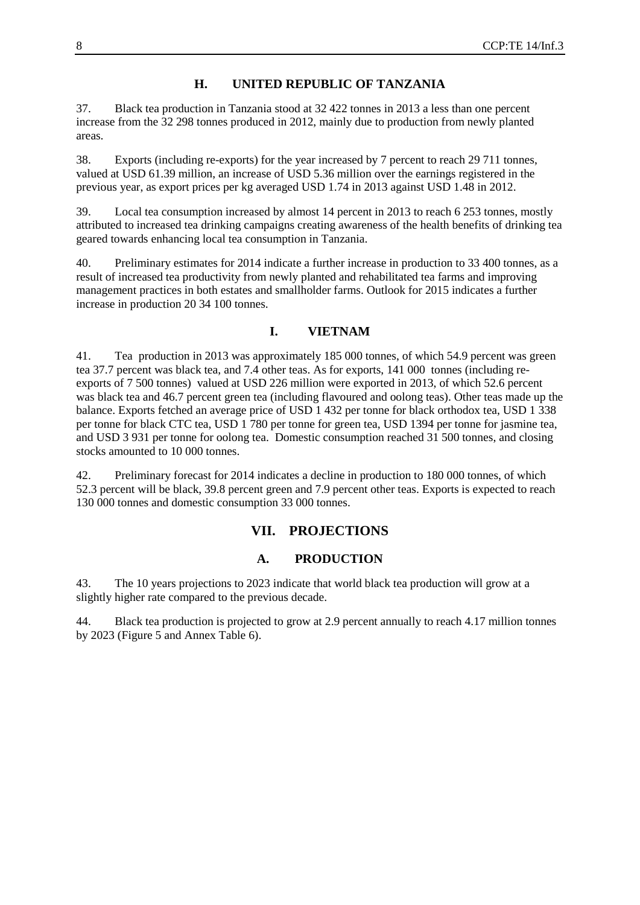## **H. UNITED REPUBLIC OF TANZANIA**

37. Black tea production in Tanzania stood at 32 422 tonnes in 2013 a less than one percent increase from the 32 298 tonnes produced in 2012, mainly due to production from newly planted areas.

38. Exports (including re-exports) for the year increased by 7 percent to reach 29 711 tonnes, valued at USD 61.39 million, an increase of USD 5.36 million over the earnings registered in the previous year, as export prices per kg averaged USD 1.74 in 2013 against USD 1.48 in 2012.

39. Local tea consumption increased by almost 14 percent in 2013 to reach 6 253 tonnes, mostly attributed to increased tea drinking campaigns creating awareness of the health benefits of drinking tea geared towards enhancing local tea consumption in Tanzania.

40. Preliminary estimates for 2014 indicate a further increase in production to 33 400 tonnes, as a result of increased tea productivity from newly planted and rehabilitated tea farms and improving management practices in both estates and smallholder farms. Outlook for 2015 indicates a further increase in production 20 34 100 tonnes.

## **I. VIETNAM**

41. Tea production in 2013 was approximately 185 000 tonnes, of which 54.9 percent was green tea 37.7 percent was black tea, and 7.4 other teas. As for exports, 141 000 tonnes (including reexports of 7 500 tonnes) valued at USD 226 million were exported in 2013, of which 52.6 percent was black tea and 46.7 percent green tea (including flavoured and oolong teas). Other teas made up the balance. Exports fetched an average price of USD 1 432 per tonne for black orthodox tea, USD 1 338 per tonne for black CTC tea, USD 1 780 per tonne for green tea, USD 1394 per tonne for jasmine tea, and USD 3 931 per tonne for oolong tea. Domestic consumption reached 31 500 tonnes, and closing stocks amounted to 10 000 tonnes.

42. Preliminary forecast for 2014 indicates a decline in production to 180 000 tonnes, of which 52.3 percent will be black, 39.8 percent green and 7.9 percent other teas. Exports is expected to reach 130 000 tonnes and domestic consumption 33 000 tonnes.

## **VII. PROJECTIONS**

#### **A. PRODUCTION**

43. The 10 years projections to 2023 indicate that world black tea production will grow at a slightly higher rate compared to the previous decade.

44. Black tea production is projected to grow at 2.9 percent annually to reach 4.17 million tonnes by 2023 (Figure 5 and Annex Table 6).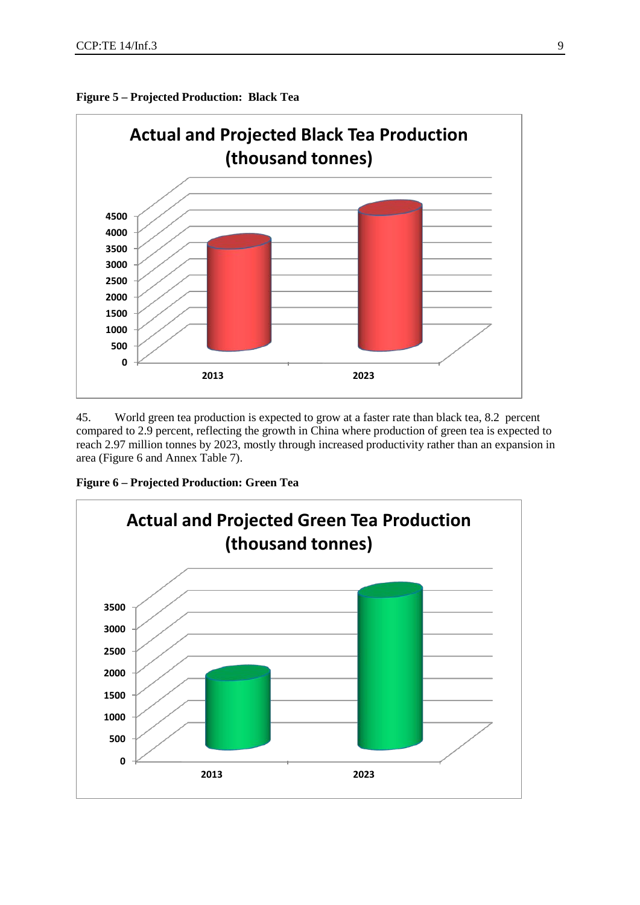



45. World green tea production is expected to grow at a faster rate than black tea, 8.2 percent compared to 2.9 percent, reflecting the growth in China where production of green tea is expected to reach 2.97 million tonnes by 2023, mostly through increased productivity rather than an expansion in area (Figure 6 and Annex Table 7).

**Figure 6 – Projected Production: Green Tea**

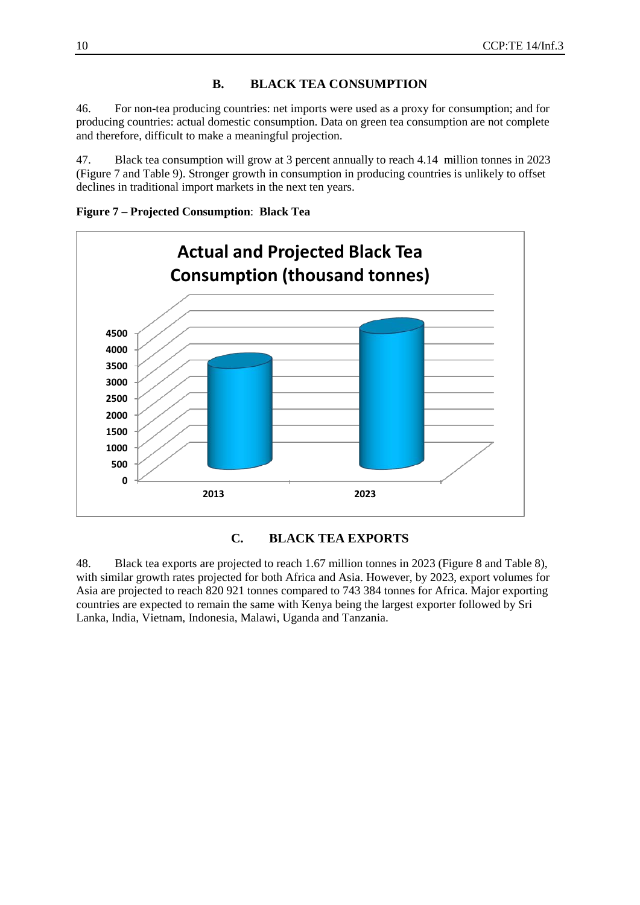## **B. BLACK TEA CONSUMPTION**

46. For non-tea producing countries: net imports were used as a proxy for consumption; and for producing countries: actual domestic consumption. Data on green tea consumption are not complete and therefore, difficult to make a meaningful projection.

47. Black tea consumption will grow at 3 percent annually to reach 4.14 million tonnes in 2023 (Figure 7 and Table 9). Stronger growth in consumption in producing countries is unlikely to offset declines in traditional import markets in the next ten years.

**Figure 7 – Projected Consumption**: **Black Tea**



#### **C. BLACK TEA EXPORTS**

48. Black tea exports are projected to reach 1.67 million tonnes in 2023 (Figure 8 and Table 8), with similar growth rates projected for both Africa and Asia. However, by 2023, export volumes for Asia are projected to reach 820 921 tonnes compared to 743 384 tonnes for Africa. Major exporting countries are expected to remain the same with Kenya being the largest exporter followed by Sri Lanka, India, Vietnam, Indonesia, Malawi, Uganda and Tanzania.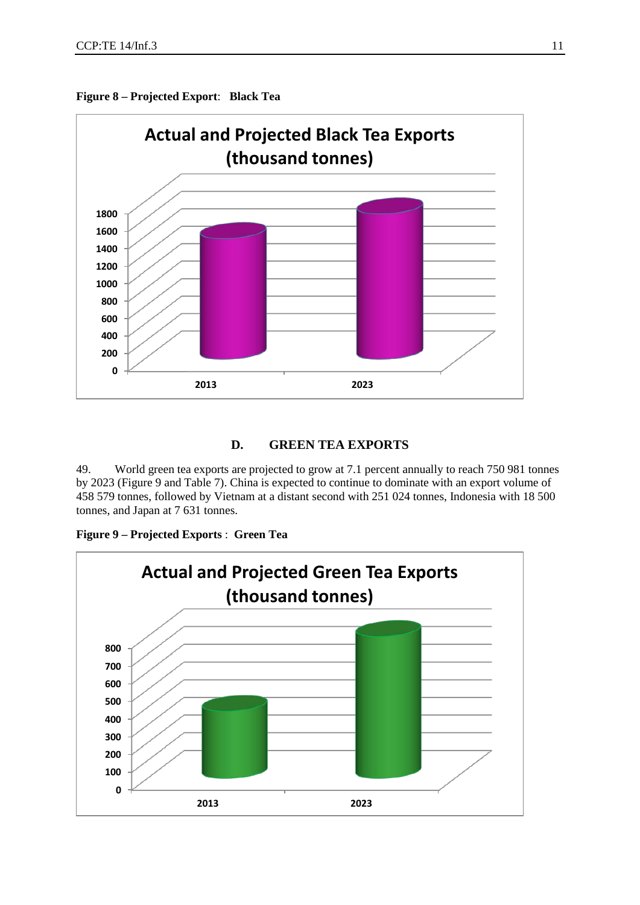



#### **D. GREEN TEA EXPORTS**

49. World green tea exports are projected to grow at 7.1 percent annually to reach 750 981 tonnes by 2023 (Figure 9 and Table 7). China is expected to continue to dominate with an export volume of 458 579 tonnes, followed by Vietnam at a distant second with 251 024 tonnes, Indonesia with 18 500 tonnes, and Japan at 7 631 tonnes.



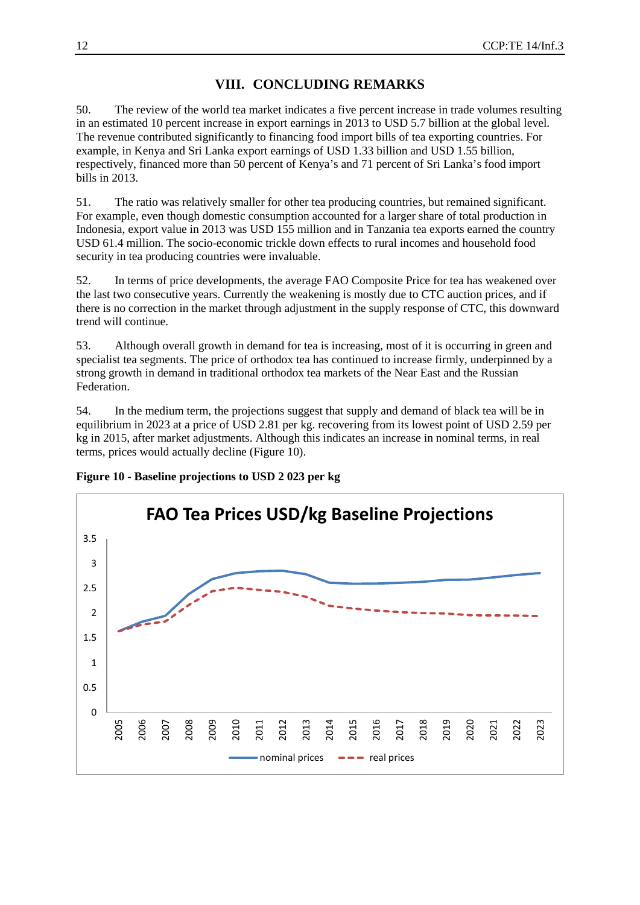## **VIII. CONCLUDING REMARKS**

50. The review of the world tea market indicates a five percent increase in trade volumes resulting in an estimated 10 percent increase in export earnings in 2013 to USD 5.7 billion at the global level. The revenue contributed significantly to financing food import bills of tea exporting countries. For example, in Kenya and Sri Lanka export earnings of USD 1.33 billion and USD 1.55 billion, respectively, financed more than 50 percent of Kenya's and 71 percent of Sri Lanka's food import bills in 2013.

51. The ratio was relatively smaller for other tea producing countries, but remained significant. For example, even though domestic consumption accounted for a larger share of total production in Indonesia, export value in 2013 was USD 155 million and in Tanzania tea exports earned the country USD 61.4 million. The socio-economic trickle down effects to rural incomes and household food security in tea producing countries were invaluable.

52. In terms of price developments, the average FAO Composite Price for tea has weakened over the last two consecutive years. Currently the weakening is mostly due to CTC auction prices, and if there is no correction in the market through adjustment in the supply response of CTC, this downward trend will continue.

53. Although overall growth in demand for tea is increasing, most of it is occurring in green and specialist tea segments. The price of orthodox tea has continued to increase firmly, underpinned by a strong growth in demand in traditional orthodox tea markets of the Near East and the Russian Federation.

54. In the medium term, the projections suggest that supply and demand of black tea will be in equilibrium in 2023 at a price of USD 2.81 per kg. recovering from its lowest point of USD 2.59 per kg in 2015, after market adjustments. Although this indicates an increase in nominal terms, in real terms, prices would actually decline (Figure 10).



**Figure 10 - Baseline projections to USD 2 023 per kg**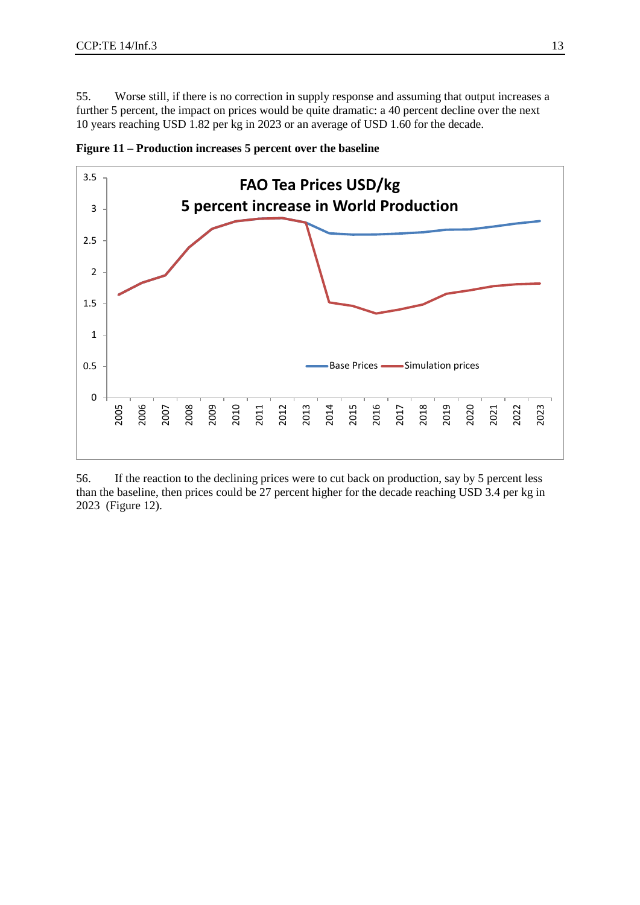55. Worse still, if there is no correction in supply response and assuming that output increases a further 5 percent, the impact on prices would be quite dramatic: a 40 percent decline over the next years reaching USD 1.82 per kg in 2023 or an average of USD 1.60 for the decade.



**Figure 11 – Production increases 5 percent over the baseline**

56. If the reaction to the declining prices were to cut back on production, say by 5 percent less than the baseline, then prices could be 27 percent higher for the decade reaching USD 3.4 per kg in 2023 (Figure 12).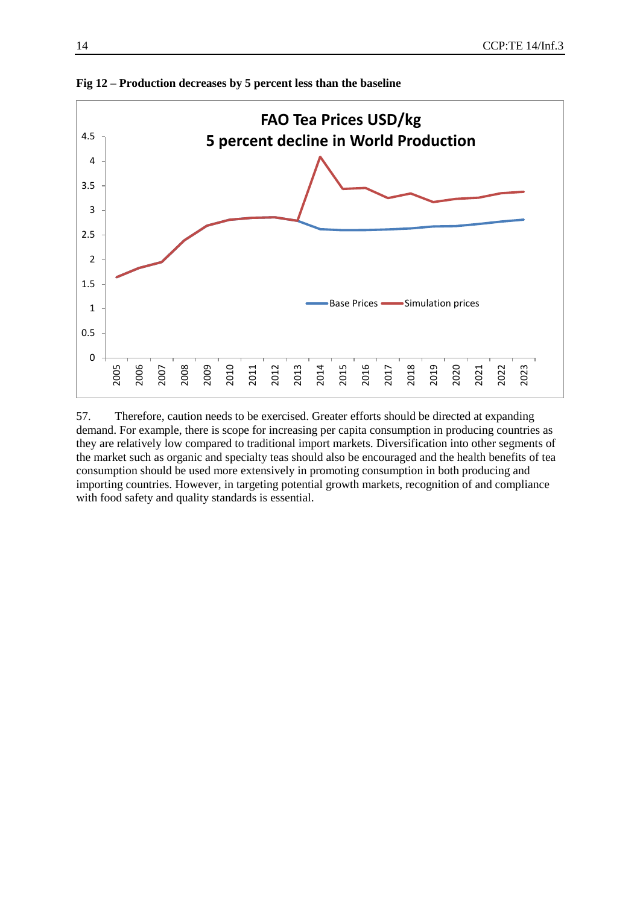

**Fig 12 – Production decreases by 5 percent less than the baseline**

57. Therefore, caution needs to be exercised. Greater efforts should be directed at expanding demand. For example, there is scope for increasing per capita consumption in producing countries as they are relatively low compared to traditional import markets. Diversification into other segments of the market such as organic and specialty teas should also be encouraged and the health benefits of tea consumption should be used more extensively in promoting consumption in both producing and importing countries. However, in targeting potential growth markets, recognition of and compliance with food safety and quality standards is essential.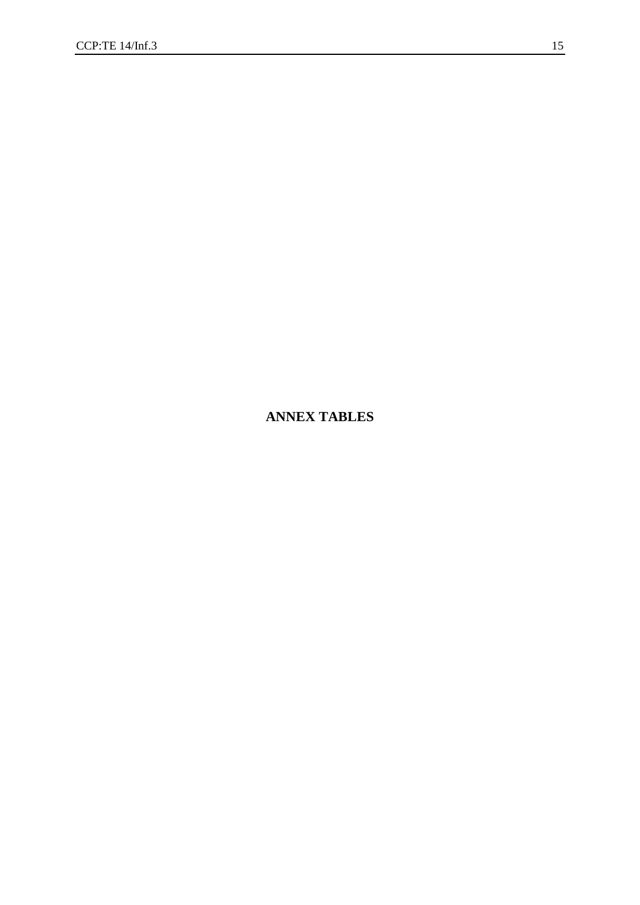# **ANNEX TABLES**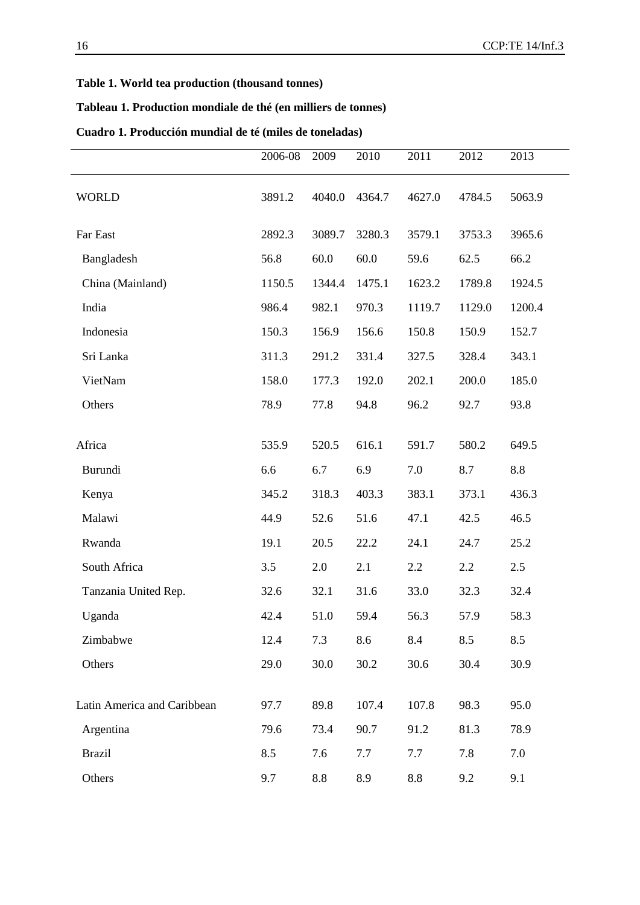#### **Table 1. World tea production (thousand tonnes)**

## **Tableau 1. Production mondiale de thé (en milliers de tonnes)**

## **Cuadro 1. Producción mundial de té (miles de toneladas)**

|                             | 2006-08 | 2009            | 2010   | 2011   | 2012   | 2013   |
|-----------------------------|---------|-----------------|--------|--------|--------|--------|
| <b>WORLD</b>                | 3891.2  | 4040.0          | 4364.7 | 4627.0 | 4784.5 | 5063.9 |
| Far East                    | 2892.3  | 3089.7          | 3280.3 | 3579.1 | 3753.3 | 3965.6 |
| Bangladesh                  | 56.8    | 60.0            | 60.0   | 59.6   | 62.5   | 66.2   |
| China (Mainland)            | 1150.5  | 1344.4          | 1475.1 | 1623.2 | 1789.8 | 1924.5 |
| India                       | 986.4   | 982.1           | 970.3  | 1119.7 | 1129.0 | 1200.4 |
| Indonesia                   | 150.3   | 156.9           | 156.6  | 150.8  | 150.9  | 152.7  |
| Sri Lanka                   | 311.3   | 291.2           | 331.4  | 327.5  | 328.4  | 343.1  |
| VietNam                     | 158.0   | 177.3           | 192.0  | 202.1  | 200.0  | 185.0  |
| Others                      | 78.9    | 77.8            | 94.8   | 96.2   | 92.7   | 93.8   |
| Africa                      | 535.9   | 520.5           | 616.1  | 591.7  | 580.2  | 649.5  |
| Burundi                     | 6.6     | 6.7             | 6.9    | 7.0    | 8.7    | 8.8    |
| Kenya                       | 345.2   | 318.3           | 403.3  | 383.1  | 373.1  | 436.3  |
| Malawi                      | 44.9    | 52.6            | 51.6   | 47.1   | 42.5   | 46.5   |
| Rwanda                      | 19.1    | 20.5            | 22.2   | 24.1   | 24.7   | 25.2   |
| South Africa                | 3.5     | 2.0             | 2.1    | 2.2    | 2.2    | 2.5    |
| Tanzania United Rep.        | 32.6    | 32.1            | 31.6   | 33.0   | 32.3   | 32.4   |
| Uganda                      | 42.4    | 51.0            | 59.4   | 56.3   | 57.9   | 58.3   |
| Zimbabwe                    | 12.4    | 7.3             | 8.6    | 8.4    | 8.5    | 8.5    |
| Others                      | 29.0    | 30.0            | 30.2   | 30.6   | 30.4   | 30.9   |
|                             |         |                 |        |        |        |        |
| Latin America and Caribbean | 97.7    | 89.8            | 107.4  | 107.8  | 98.3   | 95.0   |
| Argentina                   | 79.6    | 73.4            | 90.7   | 91.2   | 81.3   | 78.9   |
| <b>Brazil</b>               | 8.5     | 7.6             | 7.7    | 7.7    | 7.8    | 7.0    |
| Others                      | 9.7     | $\!\!\!\!\!8.8$ | 8.9    | 8.8    | 9.2    | 9.1    |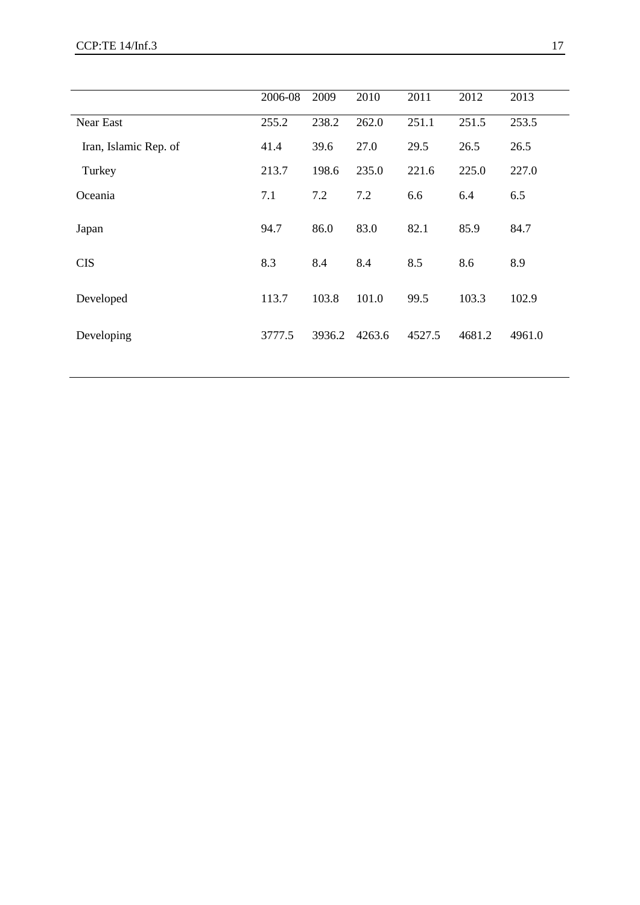|                       | 2006-08 | 2009   | 2010   | 2011   | 2012   | 2013   |
|-----------------------|---------|--------|--------|--------|--------|--------|
| <b>Near East</b>      | 255.2   | 238.2  | 262.0  | 251.1  | 251.5  | 253.5  |
| Iran, Islamic Rep. of | 41.4    | 39.6   | 27.0   | 29.5   | 26.5   | 26.5   |
| Turkey                | 213.7   | 198.6  | 235.0  | 221.6  | 225.0  | 227.0  |
| Oceania               | 7.1     | 7.2    | 7.2    | 6.6    | 6.4    | 6.5    |
| Japan                 | 94.7    | 86.0   | 83.0   | 82.1   | 85.9   | 84.7   |
| <b>CIS</b>            | 8.3     | 8.4    | 8.4    | 8.5    | 8.6    | 8.9    |
| Developed             | 113.7   | 103.8  | 101.0  | 99.5   | 103.3  | 102.9  |
| Developing            | 3777.5  | 3936.2 | 4263.6 | 4527.5 | 4681.2 | 4961.0 |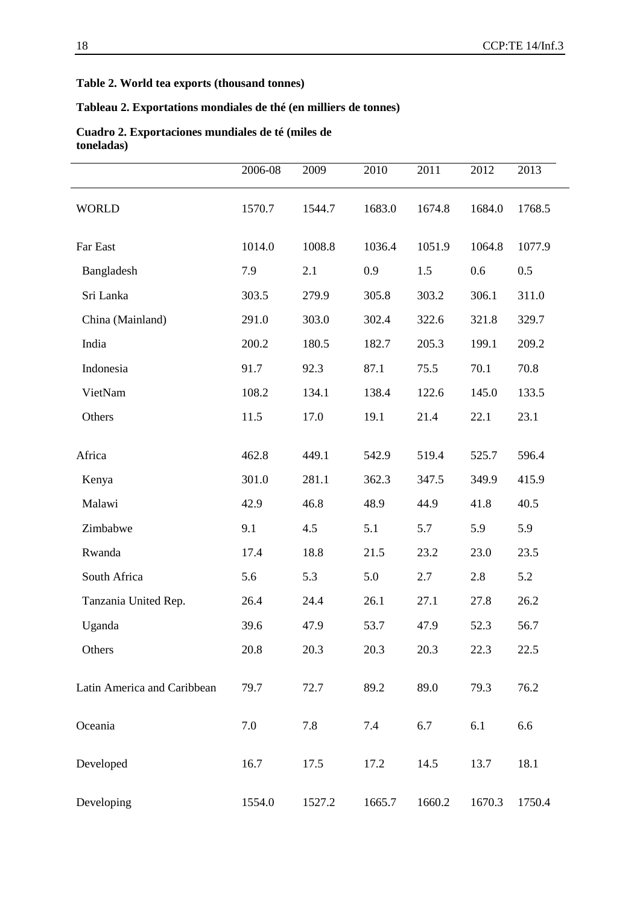#### **Table 2. World tea exports (thousand tonnes)**

#### **Tableau 2. Exportations mondiales de thé (en milliers de tonnes)**

|                             | 2006-08 | 2009   | 2010   | 2011   | 2012   | 2013   |
|-----------------------------|---------|--------|--------|--------|--------|--------|
| <b>WORLD</b>                | 1570.7  | 1544.7 | 1683.0 | 1674.8 | 1684.0 | 1768.5 |
| Far East                    | 1014.0  | 1008.8 | 1036.4 | 1051.9 | 1064.8 | 1077.9 |
| Bangladesh                  | 7.9     | 2.1    | 0.9    | 1.5    | 0.6    | 0.5    |
| Sri Lanka                   | 303.5   | 279.9  | 305.8  | 303.2  | 306.1  | 311.0  |
| China (Mainland)            | 291.0   | 303.0  | 302.4  | 322.6  | 321.8  | 329.7  |
| India                       | 200.2   | 180.5  | 182.7  | 205.3  | 199.1  | 209.2  |
| Indonesia                   | 91.7    | 92.3   | 87.1   | 75.5   | 70.1   | 70.8   |
| VietNam                     | 108.2   | 134.1  | 138.4  | 122.6  | 145.0  | 133.5  |
| Others                      | 11.5    | 17.0   | 19.1   | 21.4   | 22.1   | 23.1   |
| Africa                      | 462.8   | 449.1  | 542.9  | 519.4  | 525.7  | 596.4  |
| Kenya                       | 301.0   | 281.1  | 362.3  | 347.5  | 349.9  | 415.9  |
| Malawi                      | 42.9    | 46.8   | 48.9   | 44.9   | 41.8   | 40.5   |
| Zimbabwe                    | 9.1     | 4.5    | 5.1    | 5.7    | 5.9    | 5.9    |
| Rwanda                      | 17.4    | 18.8   | 21.5   | 23.2   | 23.0   | 23.5   |
| South Africa                | 5.6     | 5.3    | 5.0    | 2.7    | 2.8    | 5.2    |
| Tanzania United Rep.        | 26.4    | 24.4   | 26.1   | 27.1   | 27.8   | 26.2   |
| Uganda                      | 39.6    | 47.9   | 53.7   | 47.9   | 52.3   | 56.7   |
| Others                      | 20.8    | 20.3   | 20.3   | 20.3   | 22.3   | 22.5   |
| Latin America and Caribbean | 79.7    | 72.7   | 89.2   | 89.0   | 79.3   | 76.2   |
| Oceania                     | 7.0     | 7.8    | 7.4    | 6.7    | 6.1    | 6.6    |
| Developed                   | 16.7    | 17.5   | 17.2   | 14.5   | 13.7   | 18.1   |
| Developing                  | 1554.0  | 1527.2 | 1665.7 | 1660.2 | 1670.3 | 1750.4 |

#### **Cuadro 2. Exportaciones mundiales de té (miles de toneladas)**

i.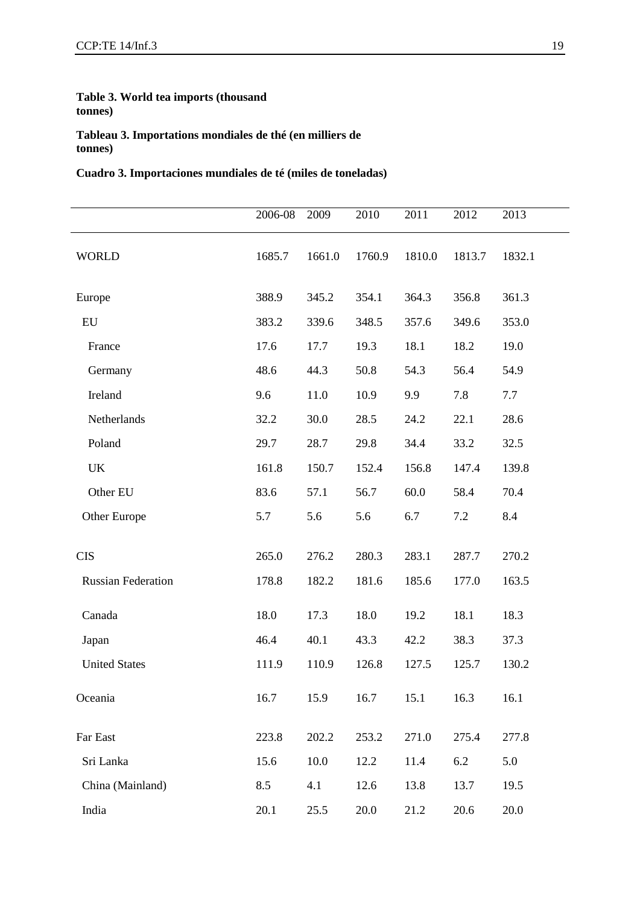#### **Table 3. World tea imports (thousand tonnes)**

**Tableau 3. Importations mondiales de thé (en milliers de tonnes)**

#### **Cuadro 3. Importaciones mundiales de té (miles de toneladas)**

|                           | 2006-08 | 2009   | 2010   | 2011   | 2012   | 2013   |
|---------------------------|---------|--------|--------|--------|--------|--------|
| <b>WORLD</b>              | 1685.7  | 1661.0 | 1760.9 | 1810.0 | 1813.7 | 1832.1 |
| Europe                    | 388.9   | 345.2  | 354.1  | 364.3  | 356.8  | 361.3  |
| EU                        | 383.2   | 339.6  | 348.5  | 357.6  | 349.6  | 353.0  |
| France                    | 17.6    | 17.7   | 19.3   | 18.1   | 18.2   | 19.0   |
| Germany                   | 48.6    | 44.3   | 50.8   | 54.3   | 56.4   | 54.9   |
| Ireland                   | 9.6     | 11.0   | 10.9   | 9.9    | 7.8    | 7.7    |
| Netherlands               | 32.2    | 30.0   | 28.5   | 24.2   | 22.1   | 28.6   |
| Poland                    | 29.7    | 28.7   | 29.8   | 34.4   | 33.2   | 32.5   |
| <b>UK</b>                 | 161.8   | 150.7  | 152.4  | 156.8  | 147.4  | 139.8  |
| Other EU                  | 83.6    | 57.1   | 56.7   | 60.0   | 58.4   | 70.4   |
| Other Europe              | 5.7     | 5.6    | 5.6    | 6.7    | 7.2    | 8.4    |
| <b>CIS</b>                | 265.0   | 276.2  | 280.3  | 283.1  | 287.7  | 270.2  |
| <b>Russian Federation</b> | 178.8   | 182.2  | 181.6  | 185.6  | 177.0  | 163.5  |
| Canada                    | 18.0    | 17.3   | 18.0   | 19.2   | 18.1   | 18.3   |
| Japan                     | 46.4    | 40.1   | 43.3   | 42.2   | 38.3   | 37.3   |
| <b>United States</b>      | 111.9   | 110.9  | 126.8  | 127.5  | 125.7  | 130.2  |
| Oceania                   | 16.7    | 15.9   | 16.7   | 15.1   | 16.3   | 16.1   |
| Far East                  | 223.8   | 202.2  | 253.2  | 271.0  | 275.4  | 277.8  |
| Sri Lanka                 | 15.6    | 10.0   | 12.2   | 11.4   | 6.2    | 5.0    |
| China (Mainland)          | 8.5     | 4.1    | 12.6   | 13.8   | 13.7   | 19.5   |
| India                     | 20.1    | 25.5   | 20.0   | 21.2   | 20.6   | 20.0   |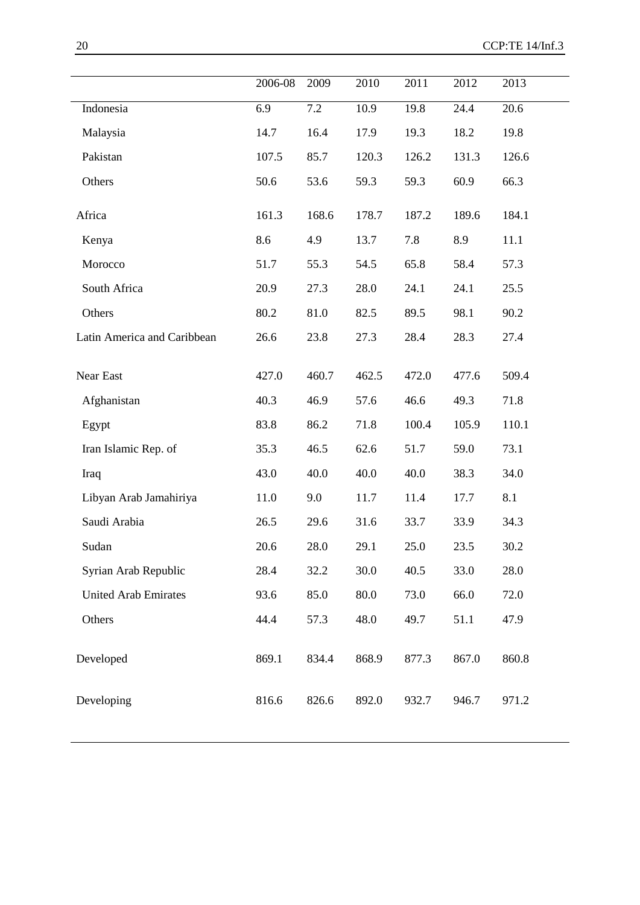|                             | 2006-08 | 2009  | 2010  | 2011  | 2012  | 2013  |
|-----------------------------|---------|-------|-------|-------|-------|-------|
| Indonesia                   | 6.9     | 7.2   | 10.9  | 19.8  | 24.4  | 20.6  |
| Malaysia                    | 14.7    | 16.4  | 17.9  | 19.3  | 18.2  | 19.8  |
| Pakistan                    | 107.5   | 85.7  | 120.3 | 126.2 | 131.3 | 126.6 |
| Others                      | 50.6    | 53.6  | 59.3  | 59.3  | 60.9  | 66.3  |
| Africa                      | 161.3   | 168.6 | 178.7 | 187.2 | 189.6 | 184.1 |
| Kenya                       | 8.6     | 4.9   | 13.7  | 7.8   | 8.9   | 11.1  |
| Morocco                     | 51.7    | 55.3  | 54.5  | 65.8  | 58.4  | 57.3  |
| South Africa                | 20.9    | 27.3  | 28.0  | 24.1  | 24.1  | 25.5  |
| Others                      | 80.2    | 81.0  | 82.5  | 89.5  | 98.1  | 90.2  |
| Latin America and Caribbean | 26.6    | 23.8  | 27.3  | 28.4  | 28.3  | 27.4  |
| Near East                   | 427.0   | 460.7 | 462.5 | 472.0 | 477.6 | 509.4 |
| Afghanistan                 | 40.3    | 46.9  | 57.6  | 46.6  | 49.3  | 71.8  |
| Egypt                       | 83.8    | 86.2  | 71.8  | 100.4 | 105.9 | 110.1 |
| Iran Islamic Rep. of        | 35.3    | 46.5  | 62.6  | 51.7  | 59.0  | 73.1  |
| Iraq                        | 43.0    | 40.0  | 40.0  | 40.0  | 38.3  | 34.0  |
| Libyan Arab Jamahiriya      | 11.0    | 9.0   | 11.7  | 11.4  | 17.7  | 8.1   |
| Saudi Arabia                | 26.5    | 29.6  | 31.6  | 33.7  | 33.9  | 34.3  |
| Sudan                       | 20.6    | 28.0  | 29.1  | 25.0  | 23.5  | 30.2  |
| Syrian Arab Republic        | 28.4    | 32.2  | 30.0  | 40.5  | 33.0  | 28.0  |
| <b>United Arab Emirates</b> | 93.6    | 85.0  | 80.0  | 73.0  | 66.0  | 72.0  |
| Others                      | 44.4    | 57.3  | 48.0  | 49.7  | 51.1  | 47.9  |
| Developed                   | 869.1   | 834.4 | 868.9 | 877.3 | 867.0 | 860.8 |
| Developing                  | 816.6   | 826.6 | 892.0 | 932.7 | 946.7 | 971.2 |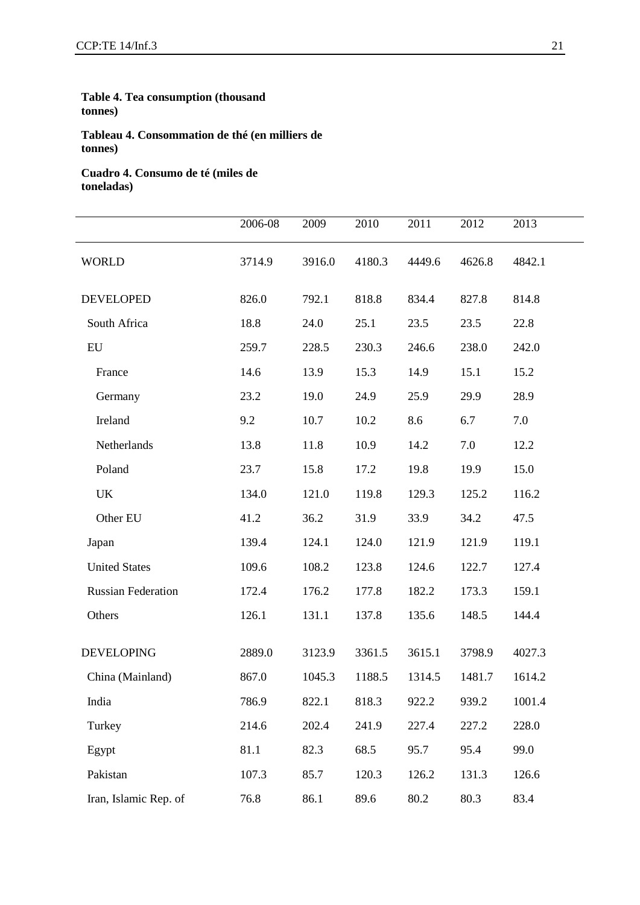#### **Table 4. Tea consumption (thousand tonnes)**

**Tableau 4. Consommation de thé (en milliers de tonnes)**

**Cuadro 4. Consumo de té (miles de toneladas)**

|                           | 2006-08 | 2009   | 2010   | 2011   | 2012   | 2013   |
|---------------------------|---------|--------|--------|--------|--------|--------|
| <b>WORLD</b>              | 3714.9  | 3916.0 | 4180.3 | 4449.6 | 4626.8 | 4842.1 |
| <b>DEVELOPED</b>          | 826.0   | 792.1  | 818.8  | 834.4  | 827.8  | 814.8  |
| South Africa              | 18.8    | 24.0   | 25.1   | 23.5   | 23.5   | 22.8   |
| ${\rm EU}$                | 259.7   | 228.5  | 230.3  | 246.6  | 238.0  | 242.0  |
| France                    | 14.6    | 13.9   | 15.3   | 14.9   | 15.1   | 15.2   |
| Germany                   | 23.2    | 19.0   | 24.9   | 25.9   | 29.9   | 28.9   |
| Ireland                   | 9.2     | 10.7   | 10.2   | 8.6    | 6.7    | 7.0    |
| Netherlands               | 13.8    | 11.8   | 10.9   | 14.2   | 7.0    | 12.2   |
| Poland                    | 23.7    | 15.8   | 17.2   | 19.8   | 19.9   | 15.0   |
| <b>UK</b>                 | 134.0   | 121.0  | 119.8  | 129.3  | 125.2  | 116.2  |
| Other EU                  | 41.2    | 36.2   | 31.9   | 33.9   | 34.2   | 47.5   |
| Japan                     | 139.4   | 124.1  | 124.0  | 121.9  | 121.9  | 119.1  |
| <b>United States</b>      | 109.6   | 108.2  | 123.8  | 124.6  | 122.7  | 127.4  |
| <b>Russian Federation</b> | 172.4   | 176.2  | 177.8  | 182.2  | 173.3  | 159.1  |
| Others                    | 126.1   | 131.1  | 137.8  | 135.6  | 148.5  | 144.4  |
|                           |         |        |        |        |        |        |
| <b>DEVELOPING</b>         | 2889.0  | 3123.9 | 3361.5 | 3615.1 | 3798.9 | 4027.3 |
| China (Mainland)          | 867.0   | 1045.3 | 1188.5 | 1314.5 | 1481.7 | 1614.2 |
| India                     | 786.9   | 822.1  | 818.3  | 922.2  | 939.2  | 1001.4 |
| Turkey                    | 214.6   | 202.4  | 241.9  | 227.4  | 227.2  | 228.0  |
| Egypt                     | 81.1    | 82.3   | 68.5   | 95.7   | 95.4   | 99.0   |
| Pakistan                  | 107.3   | 85.7   | 120.3  | 126.2  | 131.3  | 126.6  |
| Iran, Islamic Rep. of     | 76.8    | 86.1   | 89.6   | 80.2   | 80.3   | 83.4   |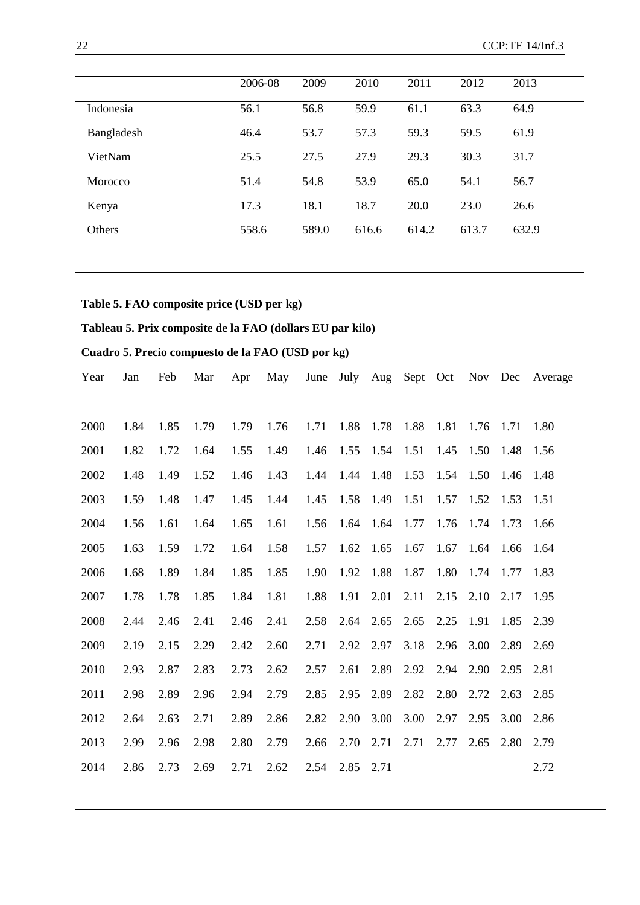|            | 2006-08 | 2009  | 2010  | 2011  | 2012  | 2013  |  |
|------------|---------|-------|-------|-------|-------|-------|--|
| Indonesia  | 56.1    | 56.8  | 59.9  | 61.1  | 63.3  | 64.9  |  |
| Bangladesh | 46.4    | 53.7  | 57.3  | 59.3  | 59.5  | 61.9  |  |
| VietNam    | 25.5    | 27.5  | 27.9  | 29.3  | 30.3  | 31.7  |  |
| Morocco    | 51.4    | 54.8  | 53.9  | 65.0  | 54.1  | 56.7  |  |
| Kenya      | 17.3    | 18.1  | 18.7  | 20.0  | 23.0  | 26.6  |  |
| Others     | 558.6   | 589.0 | 616.6 | 614.2 | 613.7 | 632.9 |  |
|            |         |       |       |       |       |       |  |

## **Table 5. FAO composite price (USD per kg)**

# **Tableau 5. Prix composite de la FAO (dollars EU par kilo)**

# **Cuadro 5. Precio compuesto de la FAO (USD por kg)**

| Year | Jan  | Feb  | Mar  | Apr  | May  | June | July | Aug       |           | Sept Oct  |      | Nov Dec        | Average |
|------|------|------|------|------|------|------|------|-----------|-----------|-----------|------|----------------|---------|
|      |      |      |      |      |      |      |      |           |           |           |      |                |         |
| 2000 | 1.84 | 1.85 | 1.79 | 1.79 | 1.76 | 1.71 | 1.88 | 1.78 1.88 |           | 1.81      |      | 1.76 1.71 1.80 |         |
| 2001 | 1.82 | 1.72 | 1.64 | 1.55 | 1.49 | 1.46 | 1.55 | 1.54 1.51 |           | 1.45      | 1.50 | 1.48 1.56      |         |
| 2002 | 1.48 | 1.49 | 1.52 | 1.46 | 1.43 | 1.44 | 1.44 | 1.48 1.53 |           | 1.54 1.50 |      | 1.46           | 1.48    |
| 2003 | 1.59 | 1.48 | 1.47 | 1.45 | 1.44 | 1.45 | 1.58 | 1.49 1.51 |           | 1.57      | 1.52 | 1.53           | 1.51    |
| 2004 | 1.56 | 1.61 | 1.64 | 1.65 | 1.61 | 1.56 | 1.64 | 1.64      | 1.77      | 1.76      | 1.74 | 1.73           | 1.66    |
| 2005 | 1.63 | 1.59 | 1.72 | 1.64 | 1.58 | 1.57 | 1.62 | 1.65      | 1.67      | 1.67      | 1.64 | 1.66           | -1.64   |
| 2006 | 1.68 | 1.89 | 1.84 | 1.85 | 1.85 | 1.90 | 1.92 | 1.88      | 1.87      | 1.80      | 1.74 | 1.77           | 1.83    |
| 2007 | 1.78 | 1.78 | 1.85 | 1.84 | 1.81 | 1.88 | 1.91 | 2.01      | 2.11      | 2.15      | 2.10 | 2.17           | 1.95    |
| 2008 | 2.44 | 2.46 | 2.41 | 2.46 | 2.41 | 2.58 | 2.64 | 2.65      | 2.65 2.25 |           | 1.91 | 1.85 2.39      |         |
| 2009 | 2.19 | 2.15 | 2.29 | 2.42 | 2.60 | 2.71 | 2.92 | 2.97      | 3.18      | 2.96      | 3.00 | 2.89           | 2.69    |
| 2010 | 2.93 | 2.87 | 2.83 | 2.73 | 2.62 | 2.57 | 2.61 | 2.89      | 2.92      | 2.94      | 2.90 | 2.95           | 2.81    |
| 2011 | 2.98 | 2.89 | 2.96 | 2.94 | 2.79 | 2.85 | 2.95 | 2.89      | 2.82      | 2.80      | 2.72 | 2.63           | 2.85    |
| 2012 | 2.64 | 2.63 | 2.71 | 2.89 | 2.86 | 2.82 | 2.90 | 3.00      | 3.00      | 2.97      | 2.95 | 3.00           | 2.86    |
| 2013 | 2.99 | 2.96 | 2.98 | 2.80 | 2.79 | 2.66 | 2.70 | 2.71      | 2.71      | 2.77      | 2.65 | 2.80           | 2.79    |
| 2014 | 2.86 | 2.73 | 2.69 | 2.71 | 2.62 | 2.54 | 2.85 | 2.71      |           |           |      |                | 2.72    |
|      |      |      |      |      |      |      |      |           |           |           |      |                |         |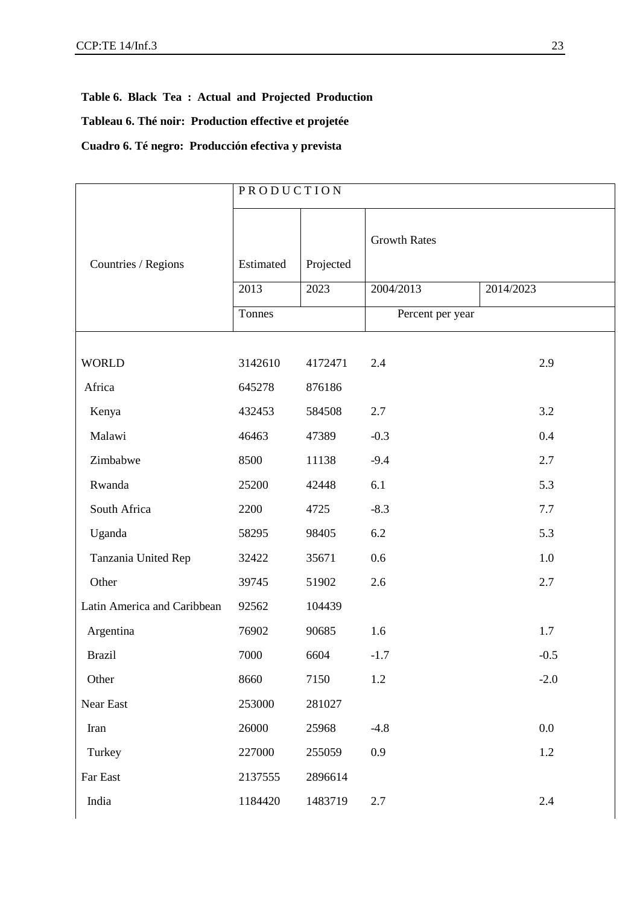**Table 6. Black Tea : Actual and Projected Production Tableau 6. Thé noir: Production effective et projetée Cuadro 6. Té negro: Producción efectiva y prevista**

|                             | PRODUCTION |           |                     |           |  |  |  |  |
|-----------------------------|------------|-----------|---------------------|-----------|--|--|--|--|
| Countries / Regions         | Estimated  | Projected | <b>Growth Rates</b> |           |  |  |  |  |
|                             | 2013       | 2023      | 2004/2013           | 2014/2023 |  |  |  |  |
|                             | Tonnes     |           | Percent per year    |           |  |  |  |  |
| <b>WORLD</b>                | 3142610    | 4172471   | 2.4                 | 2.9       |  |  |  |  |
| Africa                      | 645278     | 876186    |                     |           |  |  |  |  |
| Kenya                       | 432453     | 584508    | 2.7                 | 3.2       |  |  |  |  |
| Malawi                      | 46463      | 47389     | $-0.3$              | 0.4       |  |  |  |  |
| Zimbabwe                    | 8500       | 11138     | $-9.4$              | 2.7       |  |  |  |  |
| Rwanda                      | 25200      | 42448     | 6.1                 | 5.3       |  |  |  |  |
| South Africa                | 2200       | 4725      | $-8.3$              | 7.7       |  |  |  |  |
| Uganda                      | 58295      | 98405     | 6.2                 | 5.3       |  |  |  |  |
| Tanzania United Rep         | 32422      | 35671     | 0.6                 | $1.0\,$   |  |  |  |  |
| Other                       | 39745      | 51902     | 2.6                 | 2.7       |  |  |  |  |
| Latin America and Caribbean | 92562      | 104439    |                     |           |  |  |  |  |
| Argentina                   | 76902      | 90685     | 1.6                 | 1.7       |  |  |  |  |
| <b>Brazil</b>               | 7000       | 6604      | $-1.7$              | $-0.5$    |  |  |  |  |
| Other                       | 8660       | 7150      | 1.2                 | $-2.0$    |  |  |  |  |
| Near East                   | 253000     | 281027    |                     |           |  |  |  |  |
| Iran                        | 26000      | 25968     | $-4.8$              | $0.0\,$   |  |  |  |  |
| Turkey                      | 227000     | 255059    | 0.9                 | 1.2       |  |  |  |  |
| Far East                    | 2137555    | 2896614   |                     |           |  |  |  |  |
| India                       | 1184420    | 1483719   | 2.7                 | 2.4       |  |  |  |  |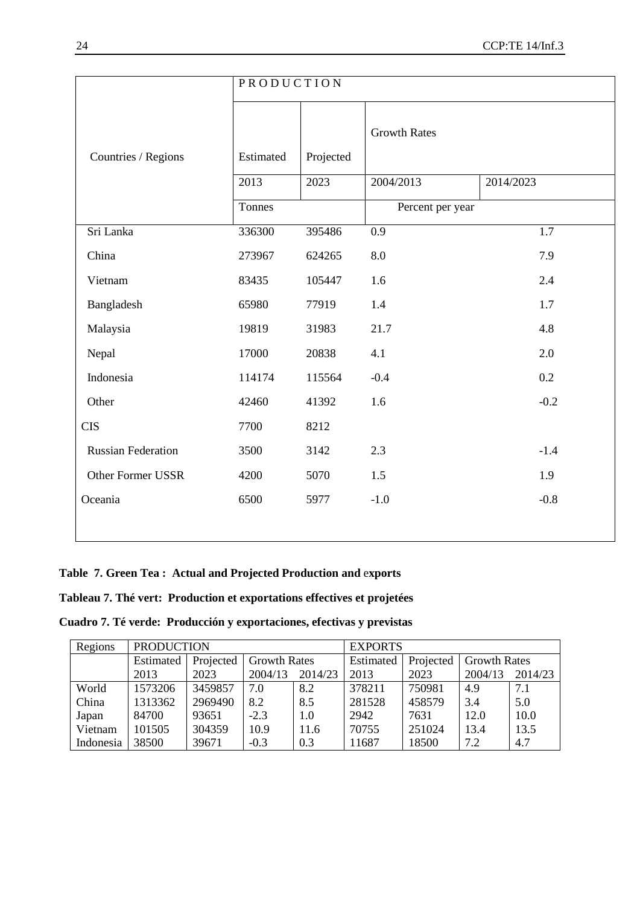|                           | PRODUCTION |           |                     |           |
|---------------------------|------------|-----------|---------------------|-----------|
|                           |            |           |                     |           |
|                           |            |           | <b>Growth Rates</b> |           |
| Countries / Regions       | Estimated  | Projected |                     |           |
|                           | 2013       | 2023      | 2004/2013           | 2014/2023 |
|                           | Tonnes     |           | Percent per year    |           |
| Sri Lanka                 | 336300     | 395486    | 0.9                 | 1.7       |
| China                     | 273967     | 624265    | 8.0                 | 7.9       |
| Vietnam                   | 83435      | 105447    | 1.6                 | 2.4       |
| Bangladesh                | 65980      | 77919     | 1.4                 | 1.7       |
| Malaysia                  | 19819      | 31983     | 21.7                | 4.8       |
| Nepal                     | 17000      | 20838     | 4.1                 | 2.0       |
| Indonesia                 | 114174     | 115564    | $-0.4$              | 0.2       |
| Other                     | 42460      | 41392     | 1.6                 | $-0.2$    |
| <b>CIS</b>                | 7700       | 8212      |                     |           |
| <b>Russian Federation</b> | 3500       | 3142      | 2.3                 | $-1.4$    |
| <b>Other Former USSR</b>  | 4200       | 5070      | 1.5                 | 1.9       |
| Oceania                   | 6500       | 5977      | $-1.0$              | $-0.8$    |
|                           |            |           |                     |           |

## **Table 7. Green Tea : Actual and Projected Production and** e**xports**

## **Tableau 7. Thé vert: Production et exportations effectives et projetées**

**Cuadro 7. Té verde: Producción y exportaciones, efectivas y previstas**

| Regions   | <b>PRODUCTION</b> |           |                     |         | <b>EXPORTS</b> |           |                     |         |  |
|-----------|-------------------|-----------|---------------------|---------|----------------|-----------|---------------------|---------|--|
|           | Estimated         | Projected | <b>Growth Rates</b> |         | Estimated      | Projected | <b>Growth Rates</b> |         |  |
|           | 2013              | 2023      | 2004/13             | 2014/23 | 2013           | 2023      | 2004/13             | 2014/23 |  |
| World     | 1573206           | 3459857   | 7.0                 | 8.2     | 378211         | 750981    | 4.9                 | 7.1     |  |
| China     | 1313362           | 2969490   | 8.2                 | 8.5     | 281528         | 458579    | 3.4                 | 5.0     |  |
| Japan     | 84700             | 93651     | $-2.3$              | 1.0     | 2942           | 7631      | 12.0                | 10.0    |  |
| Vietnam   | 101505            | 304359    | 10.9                | 11.6    | 70755          | 251024    | 13.4                | 13.5    |  |
| Indonesia | 38500             | 39671     | $-0.3$              | 0.3     | 11687          | 18500     | 7.2                 | 4.7     |  |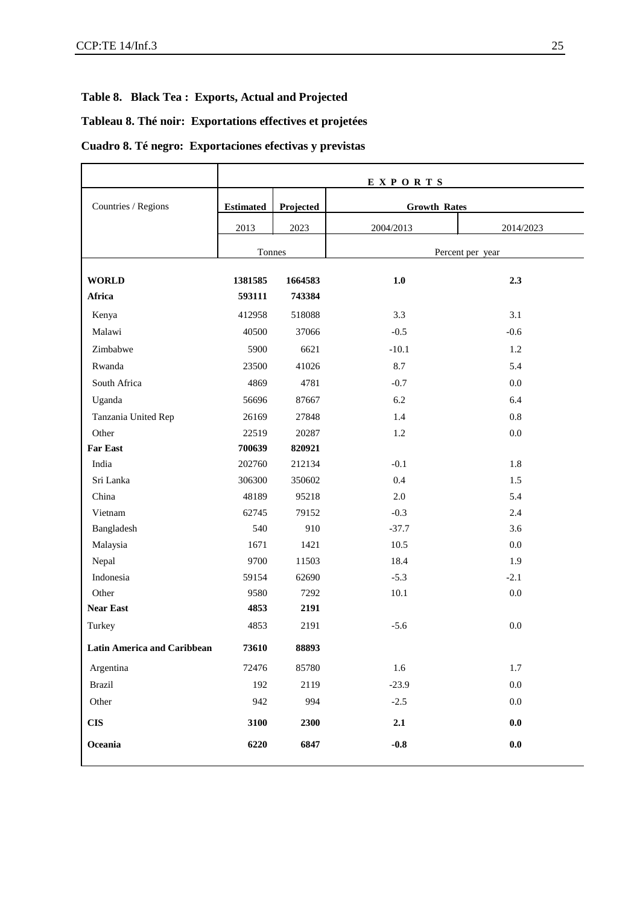## **Table 8. Black Tea : Exports, Actual and Projected**

## **Tableau 8. Thé noir: Exportations effectives et projetées**

## **Cuadro 8. Té negro: Exportaciones efectivas y previstas**

|                                    | EXPORTS          |           |                     |                  |  |  |  |  |  |
|------------------------------------|------------------|-----------|---------------------|------------------|--|--|--|--|--|
| Countries / Regions                | <b>Estimated</b> | Projected | <b>Growth Rates</b> |                  |  |  |  |  |  |
|                                    | 2013             | 2023      | 2004/2013           | 2014/2023        |  |  |  |  |  |
|                                    | Tonnes           |           |                     | Percent per year |  |  |  |  |  |
|                                    |                  |           |                     |                  |  |  |  |  |  |
| <b>WORLD</b>                       | 1381585          | 1664583   | 1.0                 | 2.3              |  |  |  |  |  |
| Africa                             | 593111           | 743384    |                     |                  |  |  |  |  |  |
| Kenya                              | 412958           | 518088    | 3.3                 | 3.1              |  |  |  |  |  |
| Malawi                             | 40500            | 37066     | $-0.5$              | $-0.6$           |  |  |  |  |  |
| Zimbabwe                           | 5900             | 6621      | $-10.1$             | 1.2              |  |  |  |  |  |
| Rwanda                             | 23500            | 41026     | 8.7                 | 5.4              |  |  |  |  |  |
| South Africa                       | 4869             | 4781      | $-0.7$              | 0.0              |  |  |  |  |  |
| Uganda                             | 56696            | 87667     | 6.2                 | 6.4              |  |  |  |  |  |
| Tanzania United Rep                | 26169            | 27848     | 1.4                 | 0.8              |  |  |  |  |  |
| Other                              | 22519            | 20287     | 1.2                 | $0.0\,$          |  |  |  |  |  |
| <b>Far East</b>                    | 700639           | 820921    |                     |                  |  |  |  |  |  |
| India                              | 202760           | 212134    | $-0.1$              | 1.8              |  |  |  |  |  |
| Sri Lanka                          | 306300           | 350602    | 0.4                 | 1.5              |  |  |  |  |  |
| China                              | 48189            | 95218     | $2.0\,$             | 5.4              |  |  |  |  |  |
| Vietnam                            | 62745            | 79152     | $-0.3$              | 2.4              |  |  |  |  |  |
| Bangladesh                         | 540              | 910       | $-37.7$             | 3.6              |  |  |  |  |  |
| Malaysia                           | 1671             | 1421      | 10.5                | $0.0\,$          |  |  |  |  |  |
| Nepal                              | 9700             | 11503     | 18.4                | 1.9              |  |  |  |  |  |
| Indonesia                          | 59154            | 62690     | $-5.3$              | $-2.1$           |  |  |  |  |  |
| Other                              | 9580             | 7292      | 10.1                | $0.0\,$          |  |  |  |  |  |
| <b>Near East</b>                   | 4853             | 2191      |                     |                  |  |  |  |  |  |
| Turkey                             | 4853             | 2191      | $-5.6$              | $0.0\,$          |  |  |  |  |  |
| <b>Latin America and Caribbean</b> | 73610            | 88893     |                     |                  |  |  |  |  |  |
| Argentina                          | 72476            | 85780     | 1.6                 | 1.7              |  |  |  |  |  |
| <b>Brazil</b>                      | 192              | 2119      | $-23.9$             | $0.0\,$          |  |  |  |  |  |
| Other                              | 942              | 994       | $-2.5$              | $0.0\,$          |  |  |  |  |  |
| <b>CIS</b>                         | 3100             | 2300      | 2.1                 | $\mathbf{0.0}$   |  |  |  |  |  |
| Oceania                            | 6220             | 6847      | $-0.8$              | $\mathbf{0.0}$   |  |  |  |  |  |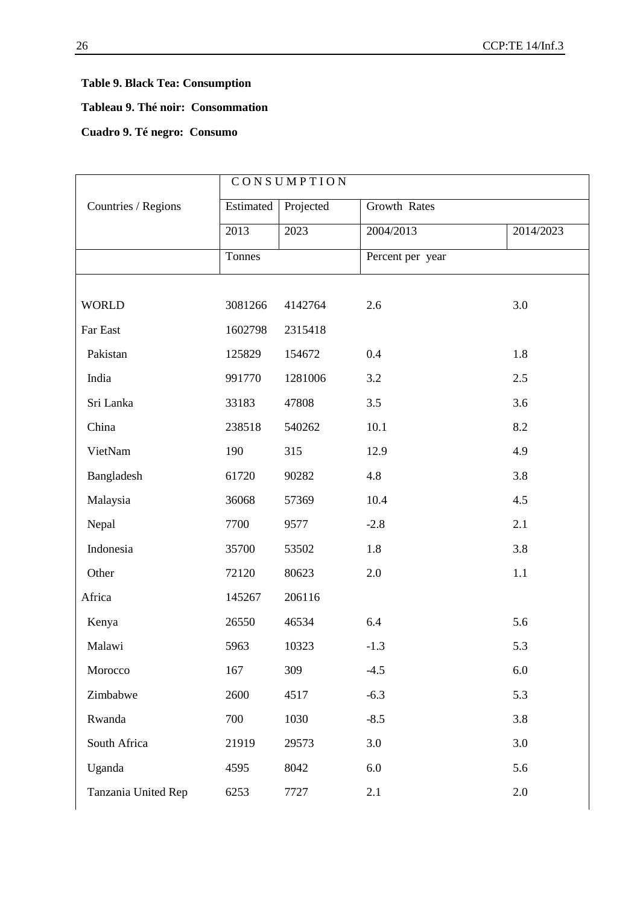# **Table 9. Black Tea: Consumption**

#### **Tableau 9. Thé noir: Consommation**

## **Cuadro 9. Té negro: Consumo**

|  | Countries / Regions | CONSUMPTION |                                  |                  |           |
|--|---------------------|-------------|----------------------------------|------------------|-----------|
|  |                     | Estimated   | Projected<br><b>Growth Rates</b> |                  |           |
|  |                     | 2013        | 2023                             | 2004/2013        | 2014/2023 |
|  |                     | Tonnes      |                                  | Percent per year |           |
|  |                     |             |                                  |                  |           |
|  | <b>WORLD</b>        | 3081266     | 4142764                          | 2.6              | 3.0       |
|  | Far East            | 1602798     | 2315418                          |                  |           |
|  | Pakistan            | 125829      | 154672                           | 0.4              | 1.8       |
|  | India               | 991770      | 1281006                          | 3.2              | 2.5       |
|  | Sri Lanka           | 33183       | 47808                            | 3.5              | 3.6       |
|  | China               | 238518      | 540262                           | 10.1             | 8.2       |
|  | VietNam             | 190         | 315                              | 12.9             | 4.9       |
|  | Bangladesh          | 61720       | 90282                            | 4.8              | 3.8       |
|  | Malaysia            | 36068       | 57369                            | 10.4             | 4.5       |
|  | Nepal               | 7700        | 9577                             | $-2.8$           | 2.1       |
|  | Indonesia           | 35700       | 53502                            | 1.8              | 3.8       |
|  | Other               | 72120       | 80623                            | 2.0              | 1.1       |
|  | Africa              | 145267      | 206116                           |                  |           |
|  | Kenya               | 26550       | 46534                            | 6.4              | 5.6       |
|  | Malawi              | 5963        | 10323                            | $-1.3$           | 5.3       |
|  | Morocco             | 167         | 309                              | $-4.5$           | $6.0\,$   |
|  | Zimbabwe            | 2600        | 4517                             | $-6.3$           | 5.3       |
|  | Rwanda              | 700         | 1030                             | $-8.5$           | 3.8       |
|  | South Africa        | 21919       | 29573                            | 3.0              | 3.0       |
|  | Uganda              | 4595        | 8042                             | 6.0              | 5.6       |
|  | Tanzania United Rep | 6253        | 7727                             | 2.1              | 2.0       |
|  |                     |             |                                  |                  |           |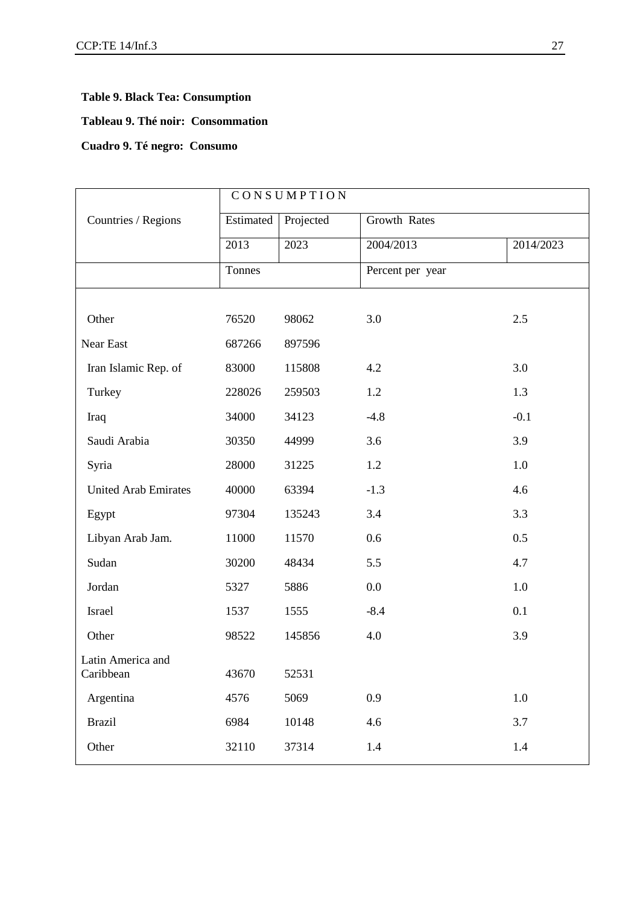## **Table 9. Black Tea: Consumption**

#### **Tableau 9. Thé noir: Consommation**

## **Cuadro 9. Té negro: Consumo**

|                                | CONSUMPTION |                           |                  |           |  |
|--------------------------------|-------------|---------------------------|------------------|-----------|--|
| Countries / Regions            | Estimated   | Growth Rates<br>Projected |                  |           |  |
|                                | 2013        | 2023                      | 2004/2013        | 2014/2023 |  |
|                                | Tonnes      |                           | Percent per year |           |  |
|                                |             |                           |                  |           |  |
| Other                          | 76520       | 98062                     | 3.0              | 2.5       |  |
| Near East                      | 687266      | 897596                    |                  |           |  |
| Iran Islamic Rep. of           | 83000       | 115808                    | 4.2              | 3.0       |  |
| Turkey                         | 228026      | 259503                    | 1.2              | 1.3       |  |
| Iraq                           | 34000       | 34123                     | $-4.8$           | $-0.1$    |  |
| Saudi Arabia                   | 30350       | 44999                     | 3.6              | 3.9       |  |
| Syria                          | 28000       | 31225                     | 1.2              | 1.0       |  |
| <b>United Arab Emirates</b>    | 40000       | 63394                     | $-1.3$           | 4.6       |  |
| Egypt                          | 97304       | 135243                    | 3.4              | 3.3       |  |
| Libyan Arab Jam.               | 11000       | 11570                     | 0.6              | 0.5       |  |
| Sudan                          | 30200       | 48434                     | 5.5              | 4.7       |  |
| Jordan                         | 5327        | 5886                      | 0.0              | 1.0       |  |
| Israel                         | 1537        | 1555                      | $-8.4$           | 0.1       |  |
| Other                          | 98522       | 145856                    | 4.0              | 3.9       |  |
| Latin America and<br>Caribbean | 43670       | 52531                     |                  |           |  |
| Argentina                      | 4576        | 5069                      | 0.9              | $1.0\,$   |  |
| <b>Brazil</b>                  | 6984        | 10148                     | 4.6              | 3.7       |  |
| Other                          | 32110       | 37314                     | 1.4              | 1.4       |  |
|                                |             |                           |                  |           |  |